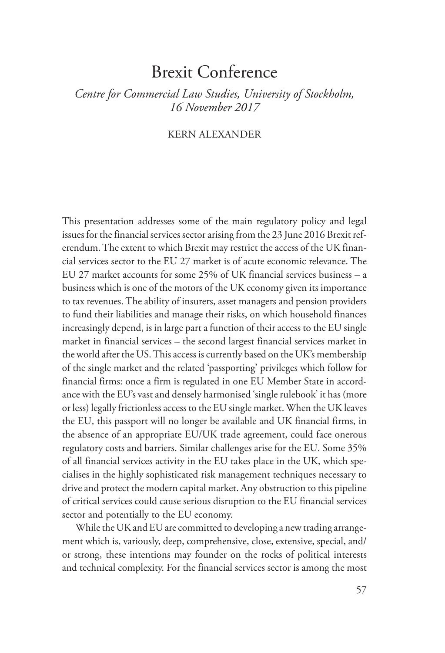# Brexit Conference

# *Centre for Commercial Law Studies, University of Stockholm, 16 November 2017*

## KERN ALEXANDER

This presentation addresses some of the main regulatory policy and legal issues for the financial services sector arising from the 23 June 2016 Brexit referendum. The extent to which Brexit may restrict the access of the UK financial services sector to the EU 27 market is of acute economic relevance. The EU 27 market accounts for some 25% of UK financial services business – a business which is one of the motors of the UK economy given its importance to tax revenues. The ability of insurers, asset managers and pension providers to fund their liabilities and manage their risks, on which household finances increasingly depend, is in large part a function of their access to the EU single market in financial services – the second largest financial services market in the world after the US. This access is currently based on the UK's membership of the single market and the related 'passporting' privileges which follow for financial firms: once a firm is regulated in one EU Member State in accordance with the EU's vast and densely harmonised 'single rulebook' it has (more or less) legally frictionless access to the EU single market. When the UK leaves the EU, this passport will no longer be available and UK financial firms, in the absence of an appropriate EU/UK trade agreement, could face onerous regulatory costs and barriers. Similar challenges arise for the EU. Some 35% of all financial services activity in the EU takes place in the UK, which specialises in the highly sophisticated risk management techniques necessary to drive and protect the modern capital market. Any obstruction to this pipeline of critical services could cause serious disruption to the EU financial services sector and potentially to the EU economy.

While the UK and EU are committed to developing a new trading arrangement which is, variously, deep, comprehensive, close, extensive, special, and/ or strong, these intentions may founder on the rocks of political interests and technical complexity. For the financial services sector is among the most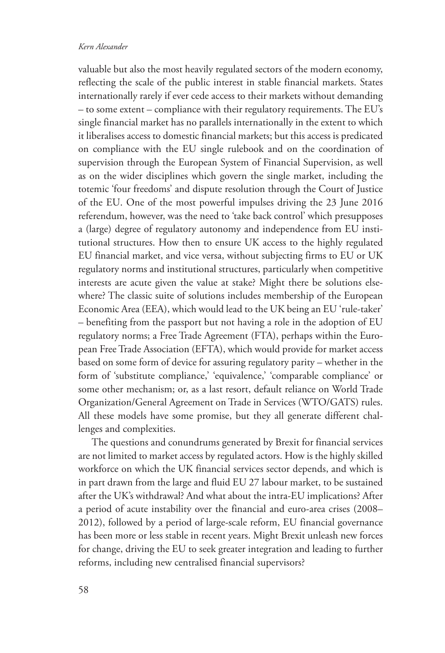### *Kern Alexander*

valuable but also the most heavily regulated sectors of the modern economy, reflecting the scale of the public interest in stable financial markets. States internationally rarely if ever cede access to their markets without demanding – to some extent – compliance with their regulatory requirements. The EU's single financial market has no parallels internationally in the extent to which it liberalises access to domestic financial markets; but this access is predicated on compliance with the EU single rulebook and on the coordination of supervision through the European System of Financial Supervision, as well as on the wider disciplines which govern the single market, including the totemic 'four freedoms' and dispute resolution through the Court of Justice of the EU. One of the most powerful impulses driving the 23 June 2016 referendum, however, was the need to 'take back control' which presupposes a (large) degree of regulatory autonomy and independence from EU institutional structures. How then to ensure UK access to the highly regulated EU financial market, and vice versa, without subjecting firms to EU or UK regulatory norms and institutional structures, particularly when competitive interests are acute given the value at stake? Might there be solutions elsewhere? The classic suite of solutions includes membership of the European Economic Area (EEA), which would lead to the UK being an EU 'rule-taker' – benefiting from the passport but not having a role in the adoption of EU regulatory norms; a Free Trade Agreement (FTA), perhaps within the European Free Trade Association (EFTA), which would provide for market access based on some form of device for assuring regulatory parity – whether in the form of 'substitute compliance,' 'equivalence,' 'comparable compliance' or some other mechanism; or, as a last resort, default reliance on World Trade Organization/General Agreement on Trade in Services (WTO/GATS) rules. All these models have some promise, but they all generate different challenges and complexities.

The questions and conundrums generated by Brexit for financial services are not limited to market access by regulated actors. How is the highly skilled workforce on which the UK financial services sector depends, and which is in part drawn from the large and fluid EU 27 labour market, to be sustained after the UK's withdrawal? And what about the intra-EU implications? After a period of acute instability over the financial and euro-area crises (2008– 2012), followed by a period of large-scale reform, EU financial governance has been more or less stable in recent years. Might Brexit unleash new forces for change, driving the EU to seek greater integration and leading to further reforms, including new centralised financial supervisors?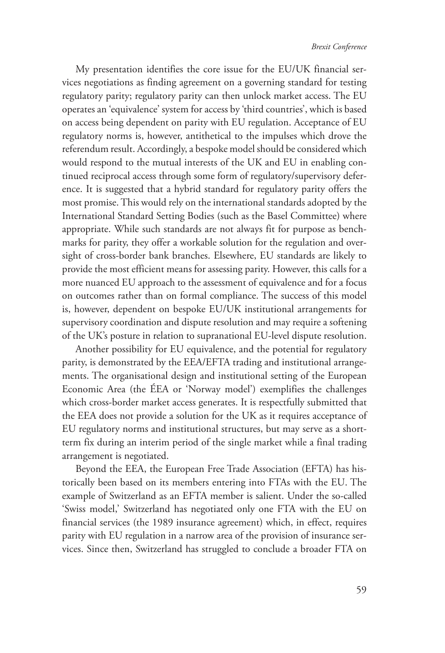My presentation identifies the core issue for the EU/UK financial services negotiations as finding agreement on a governing standard for testing regulatory parity; regulatory parity can then unlock market access. The EU operates an 'equivalence' system for access by 'third countries', which is based on access being dependent on parity with EU regulation. Acceptance of EU regulatory norms is, however, antithetical to the impulses which drove the referendum result. Accordingly, a bespoke model should be considered which would respond to the mutual interests of the UK and EU in enabling continued reciprocal access through some form of regulatory/supervisory deference. It is suggested that a hybrid standard for regulatory parity offers the most promise. This would rely on the international standards adopted by the International Standard Setting Bodies (such as the Basel Committee) where appropriate. While such standards are not always fit for purpose as benchmarks for parity, they offer a workable solution for the regulation and oversight of cross-border bank branches. Elsewhere, EU standards are likely to provide the most efficient means for assessing parity. However, this calls for a more nuanced EU approach to the assessment of equivalence and for a focus on outcomes rather than on formal compliance. The success of this model is, however, dependent on bespoke EU/UK institutional arrangements for supervisory coordination and dispute resolution and may require a softening of the UK's posture in relation to supranational EU-level dispute resolution.

Another possibility for EU equivalence, and the potential for regulatory parity, is demonstrated by the EEA/EFTA trading and institutional arrangements. The organisational design and institutional setting of the European Economic Area (the ÉEA or 'Norway model') exemplifies the challenges which cross-border market access generates. It is respectfully submitted that the EEA does not provide a solution for the UK as it requires acceptance of EU regulatory norms and institutional structures, but may serve as a shortterm fix during an interim period of the single market while a final trading arrangement is negotiated.

Beyond the EEA, the European Free Trade Association (EFTA) has historically been based on its members entering into FTAs with the EU. The example of Switzerland as an EFTA member is salient. Under the so-called 'Swiss model,' Switzerland has negotiated only one FTA with the EU on financial services (the 1989 insurance agreement) which, in effect, requires parity with EU regulation in a narrow area of the provision of insurance services. Since then, Switzerland has struggled to conclude a broader FTA on